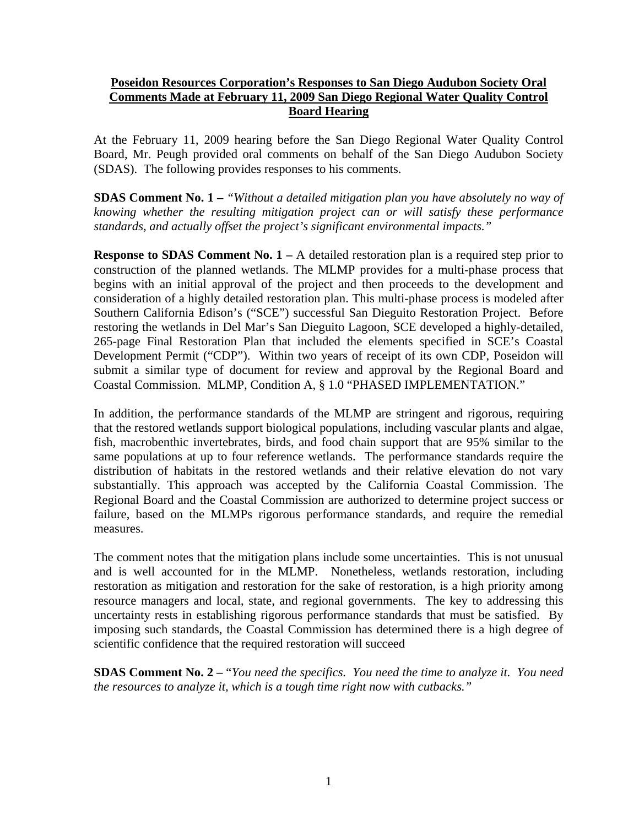## **Poseidon Resources Corporation's Responses to San Diego Audubon Society Oral Comments Made at February 11, 2009 San Diego Regional Water Quality Control Board Hearing**

At the February 11, 2009 hearing before the San Diego Regional Water Quality Control Board, Mr. Peugh provided oral comments on behalf of the San Diego Audubon Society (SDAS). The following provides responses to his comments.

**SDAS Comment No. 1 –** *"Without a detailed mitigation plan you have absolutely no way of knowing whether the resulting mitigation project can or will satisfy these performance standards, and actually offset the project's significant environmental impacts."* 

**Response to SDAS Comment No. 1 – A detailed restoration plan is a required step prior to** construction of the planned wetlands. The MLMP provides for a multi-phase process that begins with an initial approval of the project and then proceeds to the development and consideration of a highly detailed restoration plan. This multi-phase process is modeled after Southern California Edison's ("SCE") successful San Dieguito Restoration Project. Before restoring the wetlands in Del Mar's San Dieguito Lagoon, SCE developed a highly-detailed, 265-page Final Restoration Plan that included the elements specified in SCE's Coastal Development Permit ("CDP"). Within two years of receipt of its own CDP, Poseidon will submit a similar type of document for review and approval by the Regional Board and Coastal Commission. MLMP, Condition A, § 1.0 "PHASED IMPLEMENTATION."

In addition, the performance standards of the MLMP are stringent and rigorous, requiring that the restored wetlands support biological populations, including vascular plants and algae, fish, macrobenthic invertebrates, birds, and food chain support that are 95% similar to the same populations at up to four reference wetlands. The performance standards require the distribution of habitats in the restored wetlands and their relative elevation do not vary substantially. This approach was accepted by the California Coastal Commission. The Regional Board and the Coastal Commission are authorized to determine project success or failure, based on the MLMPs rigorous performance standards, and require the remedial measures.

The comment notes that the mitigation plans include some uncertainties. This is not unusual and is well accounted for in the MLMP. Nonetheless, wetlands restoration, including restoration as mitigation and restoration for the sake of restoration, is a high priority among resource managers and local, state, and regional governments. The key to addressing this uncertainty rests in establishing rigorous performance standards that must be satisfied. By imposing such standards, the Coastal Commission has determined there is a high degree of scientific confidence that the required restoration will succeed

**SDAS Comment No. 2 –** "*You need the specifics. You need the time to analyze it. You need the resources to analyze it, which is a tough time right now with cutbacks."*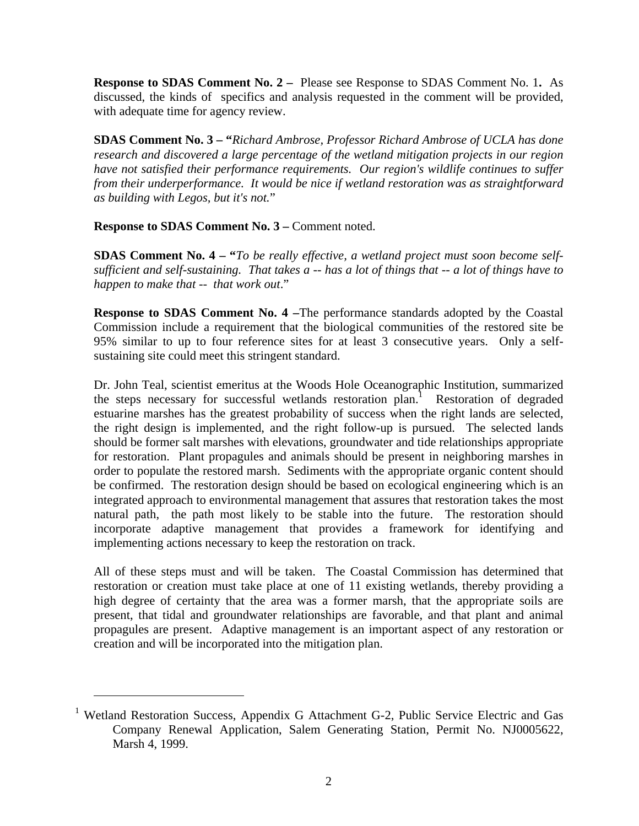**Response to SDAS Comment No. 2 –** Please see Response to SDAS Comment No. 1**.** As discussed, the kinds of specifics and analysis requested in the comment will be provided, with adequate time for agency review.

**SDAS Comment No. 3 – "***Richard Ambrose, Professor Richard Ambrose of UCLA has done research and discovered a large percentage of the wetland mitigation projects in our region have not satisfied their performance requirements. Our region's wildlife continues to suffer from their underperformance. It would be nice if wetland restoration was as straightforward as building with Legos, but it's not.*"

**Response to SDAS Comment No. 3 –** Comment noted.

**SDAS Comment No. 4 – "***To be really effective, a wetland project must soon become selfsufficient and self-sustaining. That takes a -- has a lot of things that -- a lot of things have to happen to make that -- that work out*."

**Response to SDAS Comment No. 4 –**The performance standards adopted by the Coastal Commission include a requirement that the biological communities of the restored site be 95% similar to up to four reference sites for at least 3 consecutive years. Only a selfsustaining site could meet this stringent standard.

Dr. John Teal, scientist emeritus at the Woods Hole Oceanographic Institution, summarized the steps necessary for successful wetlands restoration plan.<sup>1</sup> Restoration of degraded estuarine marshes has the greatest probability of success when the right lands are selected, the right design is implemented, and the right follow-up is pursued. The selected lands should be former salt marshes with elevations, groundwater and tide relationships appropriate for restoration. Plant propagules and animals should be present in neighboring marshes in order to populate the restored marsh. Sediments with the appropriate organic content should be confirmed. The restoration design should be based on ecological engineering which is an integrated approach to environmental management that assures that restoration takes the most natural path, the path most likely to be stable into the future. The restoration should incorporate adaptive management that provides a framework for identifying and implementing actions necessary to keep the restoration on track.

All of these steps must and will be taken. The Coastal Commission has determined that restoration or creation must take place at one of 11 existing wetlands, thereby providing a high degree of certainty that the area was a former marsh, that the appropriate soils are present, that tidal and groundwater relationships are favorable, and that plant and animal propagules are present. Adaptive management is an important aspect of any restoration or creation and will be incorporated into the mitigation plan.

 $\overline{a}$ 

<sup>&</sup>lt;sup>1</sup> Wetland Restoration Success, Appendix G Attachment G-2, Public Service Electric and Gas Company Renewal Application, Salem Generating Station, Permit No. NJ0005622, Marsh 4, 1999.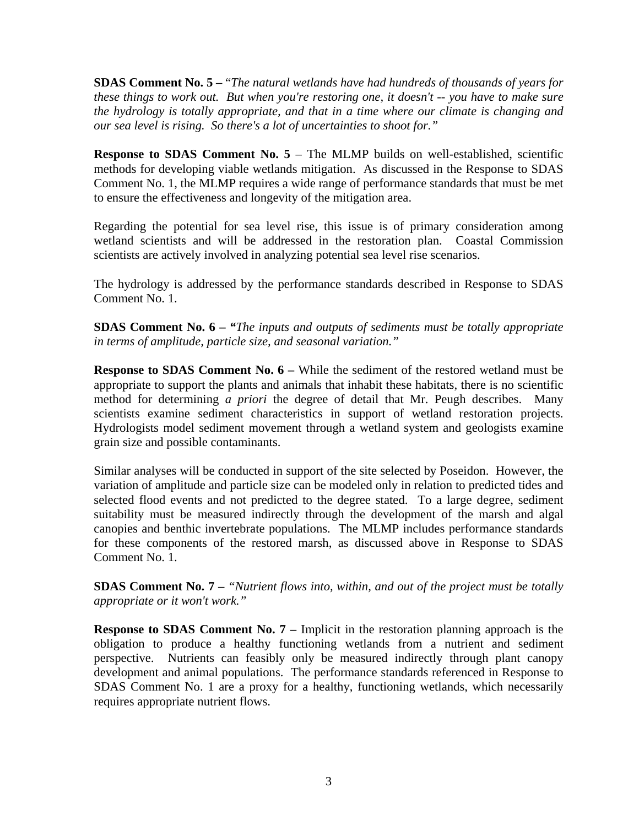**SDAS Comment No. 5 –** "*The natural wetlands have had hundreds of thousands of years for these things to work out. But when you're restoring one, it doesn't -- you have to make sure the hydrology is totally appropriate, and that in a time where our climate is changing and our sea level is rising. So there's a lot of uncertainties to shoot for."* 

**Response to SDAS Comment No. 5 – The MLMP builds on well-established, scientific** methods for developing viable wetlands mitigation. As discussed in the Response to SDAS Comment No. 1, the MLMP requires a wide range of performance standards that must be met to ensure the effectiveness and longevity of the mitigation area.

Regarding the potential for sea level rise, this issue is of primary consideration among wetland scientists and will be addressed in the restoration plan. Coastal Commission scientists are actively involved in analyzing potential sea level rise scenarios.

The hydrology is addressed by the performance standards described in Response to SDAS Comment No. 1.

**SDAS Comment No. 6 –** *"The inputs and outputs of sediments must be totally appropriate in terms of amplitude, particle size, and seasonal variation."* 

**Response to SDAS Comment No. 6 –** While the sediment of the restored wetland must be appropriate to support the plants and animals that inhabit these habitats, there is no scientific method for determining *a priori* the degree of detail that Mr. Peugh describes. Many scientists examine sediment characteristics in support of wetland restoration projects. Hydrologists model sediment movement through a wetland system and geologists examine grain size and possible contaminants.

Similar analyses will be conducted in support of the site selected by Poseidon. However, the variation of amplitude and particle size can be modeled only in relation to predicted tides and selected flood events and not predicted to the degree stated. To a large degree, sediment suitability must be measured indirectly through the development of the marsh and algal canopies and benthic invertebrate populations. The MLMP includes performance standards for these components of the restored marsh, as discussed above in Response to SDAS Comment No. 1.

**SDAS Comment No. 7 –** *"Nutrient flows into, within, and out of the project must be totally appropriate or it won't work."*

**Response to SDAS Comment No. 7 – Implicit in the restoration planning approach is the** obligation to produce a healthy functioning wetlands from a nutrient and sediment perspective. Nutrients can feasibly only be measured indirectly through plant canopy development and animal populations. The performance standards referenced in Response to SDAS Comment No. 1 are a proxy for a healthy, functioning wetlands, which necessarily requires appropriate nutrient flows.